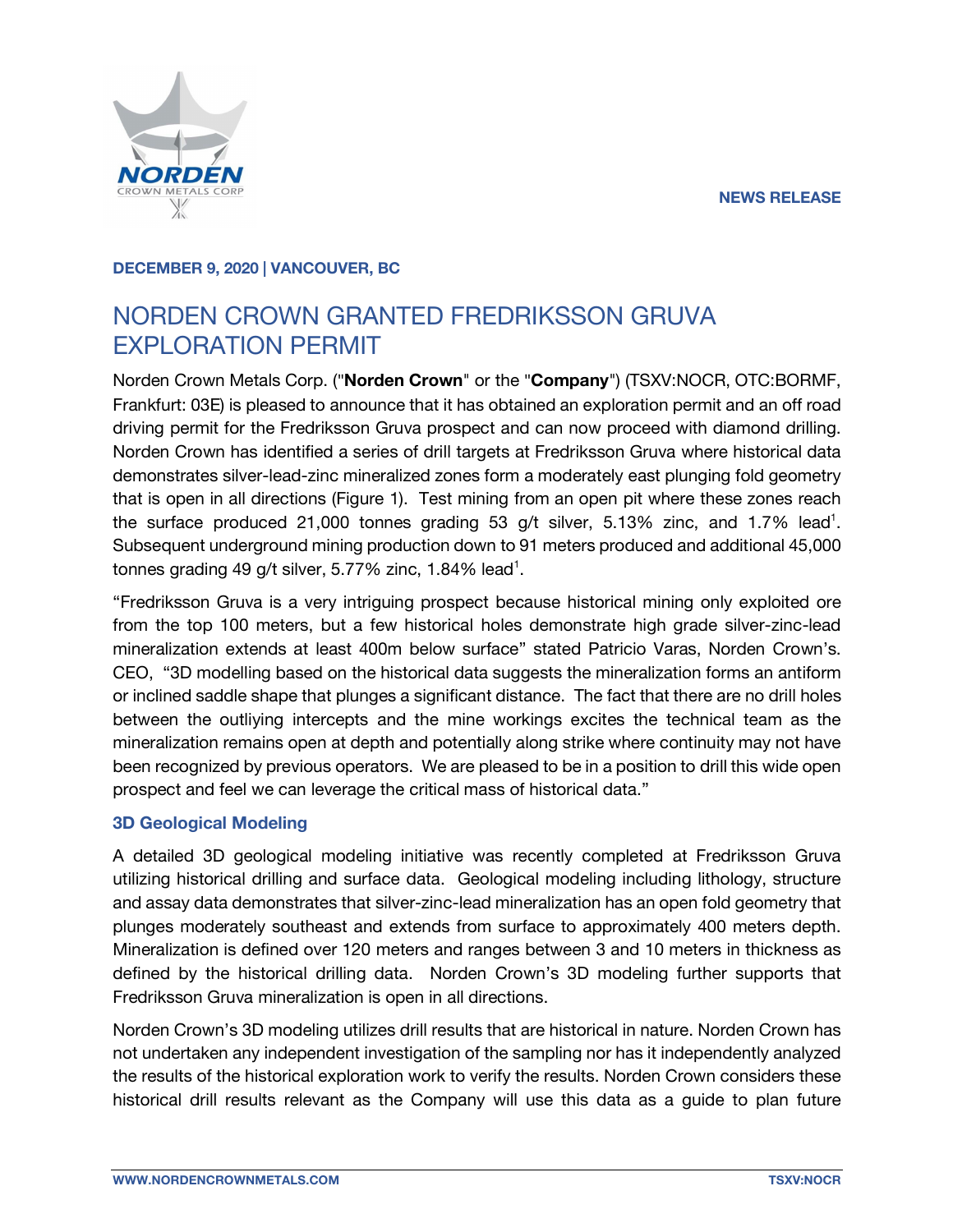

#### **DECEMBER 9, 2020 | VANCOUVER, BC**

# NORDEN CROWN GRANTED FREDRIKSSON GRUVA EXPLORATION PERMIT

Norden Crown Metals Corp. ("**Norden Crown**" or the "**Company**") (TSXV:NOCR, OTC:BORMF, Frankfurt: 03E) is pleased to announce that it has obtained an exploration permit and an off road driving permit for the Fredriksson Gruva prospect and can now proceed with diamond drilling. Norden Crown has identified a series of drill targets at Fredriksson Gruva where historical data demonstrates silver-lead-zinc mineralized zones form a moderately east plunging fold geometry that is open in all directions (Figure 1). Test mining from an open pit where these zones reach the surface produced  $21,000$  tonnes grading 53 g/t silver, 5.13% zinc, and 1.7% lead<sup>1</sup>. Subsequent underground mining production down to 91 meters produced and additional 45,000 tonnes grading 49 g/t silver, 5.77% zinc, 1.84% lead<sup>1</sup>.

"Fredriksson Gruva is a very intriguing prospect because historical mining only exploited ore from the top 100 meters, but a few historical holes demonstrate high grade silver-zinc-lead mineralization extends at least 400m below surface" stated Patricio Varas, Norden Crown's. CEO, "3D modelling based on the historical data suggests the mineralization forms an antiform or inclined saddle shape that plunges a significant distance. The fact that there are no drill holes between the outliying intercepts and the mine workings excites the technical team as the mineralization remains open at depth and potentially along strike where continuity may not have been recognized by previous operators. We are pleased to be in a position to drill this wide open prospect and feel we can leverage the critical mass of historical data."

# **3D Geological Modeling**

A detailed 3D geological modeling initiative was recently completed at Fredriksson Gruva utilizing historical drilling and surface data. Geological modeling including lithology, structure and assay data demonstrates that silver-zinc-lead mineralization has an open fold geometry that plunges moderately southeast and extends from surface to approximately 400 meters depth. Mineralization is defined over 120 meters and ranges between 3 and 10 meters in thickness as defined by the historical drilling data. Norden Crown's 3D modeling further supports that Fredriksson Gruva mineralization is open in all directions.

Norden Crown's 3D modeling utilizes drill results that are historical in nature. Norden Crown has not undertaken any independent investigation of the sampling nor has it independently analyzed the results of the historical exploration work to verify the results. Norden Crown considers these historical drill results relevant as the Company will use this data as a guide to plan future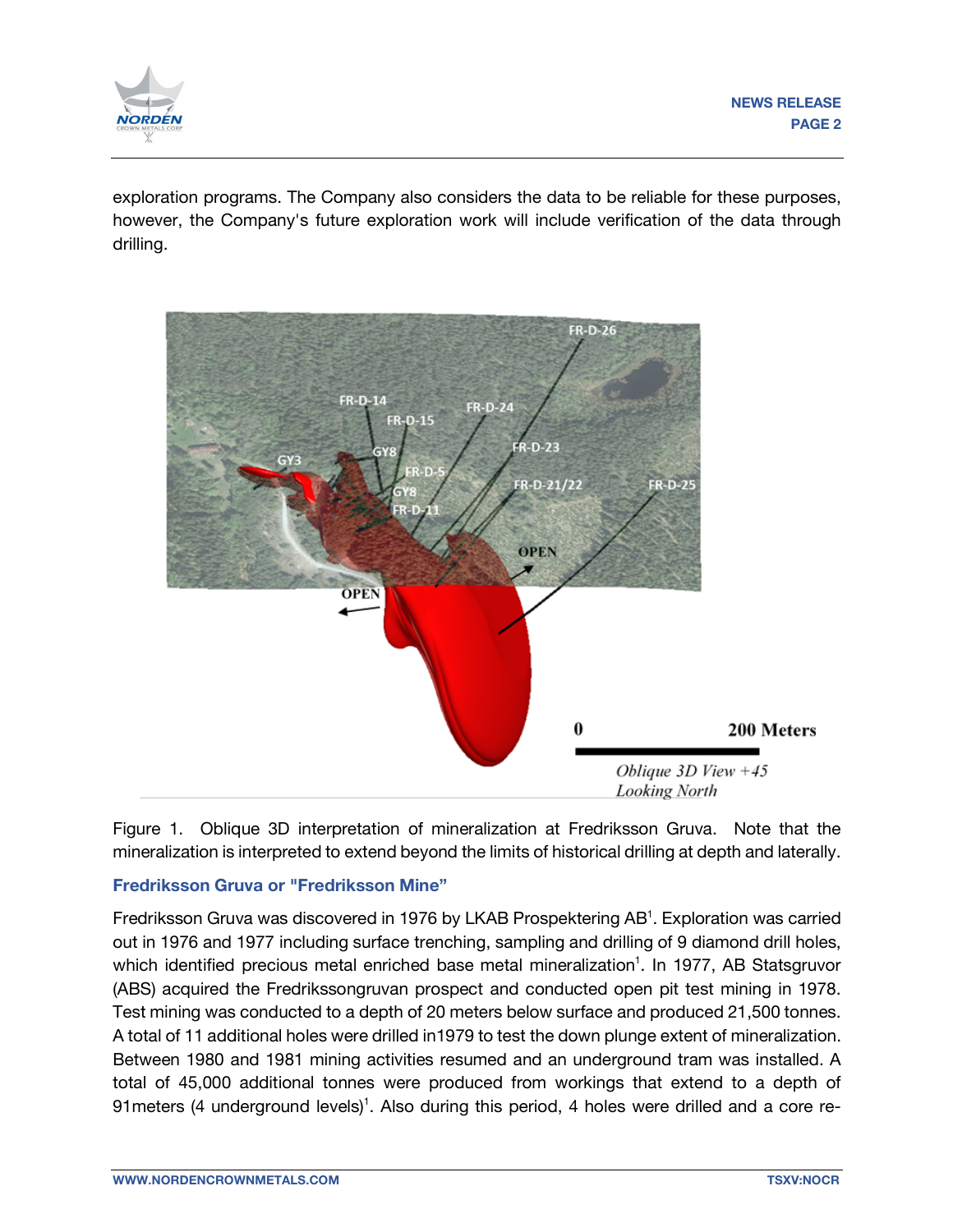

exploration programs. The Company also considers the data to be reliable for these purposes, however, the Company's future exploration work will include verification of the data through drilling.



Figure 1. Oblique 3D interpretation of mineralization at Fredriksson Gruva. Note that the mineralization is interpreted to extend beyond the limits of historical drilling at depth and laterally.

# **Fredriksson Gruva or "Fredriksson Mine"**

Fredriksson Gruva was discovered in 1976 by LKAB Prospektering AB<sup>1</sup>. Exploration was carried out in 1976 and 1977 including surface trenching, sampling and drilling of 9 diamond drill holes, which identified precious metal enriched base metal mineralization<sup>1</sup>. In 1977, AB Statsgruvor (ABS) acquired the Fredrikssongruvan prospect and conducted open pit test mining in 1978. Test mining was conducted to a depth of 20 meters below surface and produced 21,500 tonnes. A total of 11 additional holes were drilled in1979 to test the down plunge extent of mineralization. Between 1980 and 1981 mining activities resumed and an underground tram was installed. A total of 45,000 additional tonnes were produced from workings that extend to a depth of 91 meters (4 underground levels)<sup>1</sup>. Also during this period, 4 holes were drilled and a core re-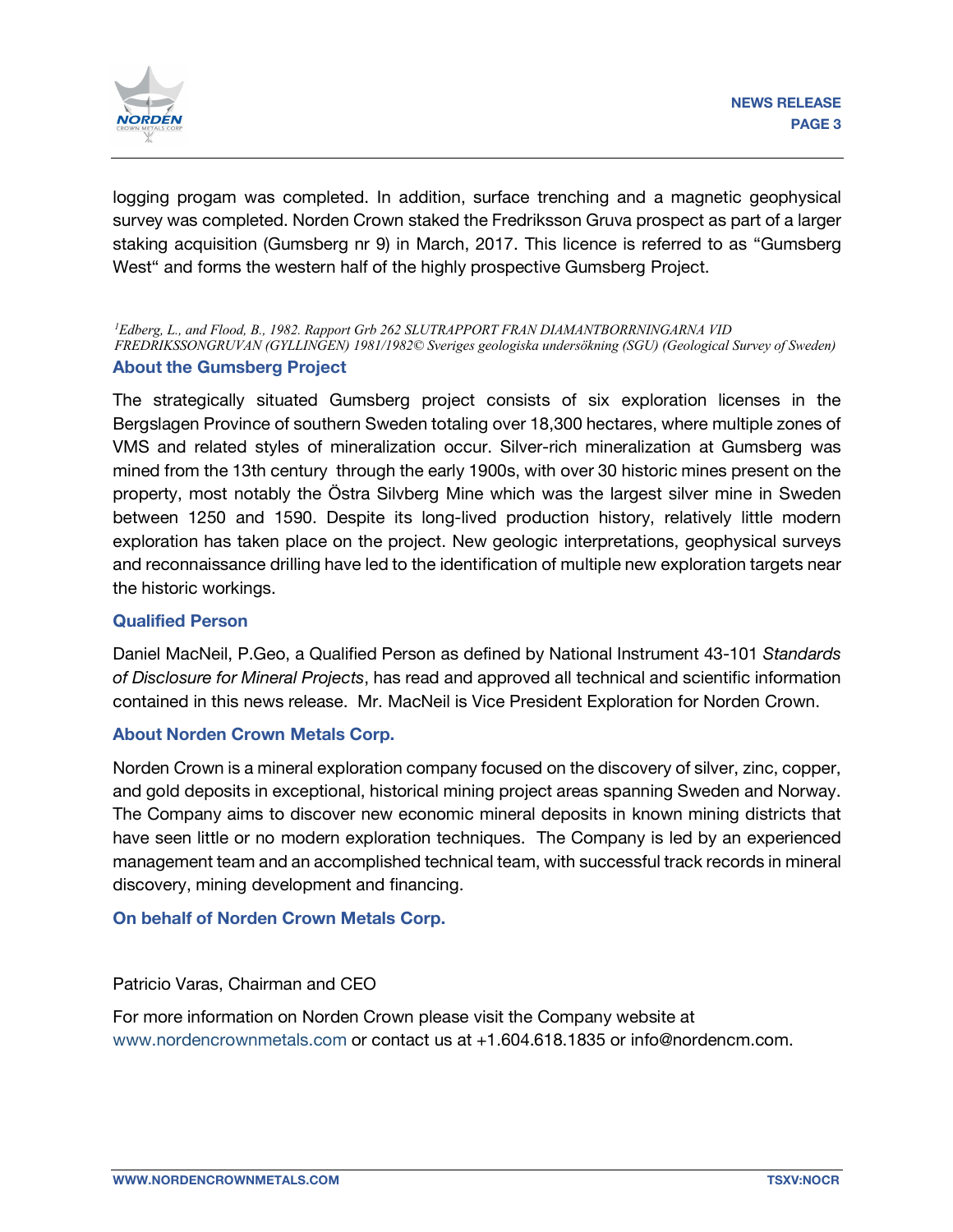

logging progam was completed. In addition, surface trenching and a magnetic geophysical survey was completed. Norden Crown staked the Fredriksson Gruva prospect as part of a larger staking acquisition (Gumsberg nr 9) in March, 2017. This licence is referred to as "Gumsberg West" and forms the western half of the highly prospective Gumsberg Project.

**About the Gumsberg Project** *1 Edberg, L., and Flood, B., 1982. Rapport Grb 262 SLUTRAPPORT FRAN DIAMANTBORRNINGARNA VID FREDRIKSSONGRUVAN (GYLLINGEN) 1981/1982© Sveriges geologiska undersökning (SGU) (Geological Survey of Sweden)*

The strategically situated Gumsberg project consists of six exploration licenses in the Bergslagen Province of southern Sweden totaling over 18,300 hectares, where multiple zones of VMS and related styles of mineralization occur. Silver-rich mineralization at Gumsberg was mined from the 13th century through the early 1900s, with over 30 historic mines present on the property, most notably the Östra Silvberg Mine which was the largest silver mine in Sweden between 1250 and 1590. Despite its long-lived production history, relatively little modern exploration has taken place on the project. New geologic interpretations, geophysical surveys and reconnaissance drilling have led to the identification of multiple new exploration targets near the historic workings.

#### **Qualified Person**

Daniel MacNeil, P.Geo, a Qualified Person as defined by National Instrument 43-101 *Standards of Disclosure for Mineral Projects*, has read and approved all technical and scientific information contained in this news release. Mr. MacNeil is Vice President Exploration for Norden Crown.

# **About Norden Crown Metals Corp.**

Norden Crown is a mineral exploration company focused on the discovery of silver, zinc, copper, and gold deposits in exceptional, historical mining project areas spanning Sweden and Norway. The Company aims to discover new economic mineral deposits in known mining districts that have seen little or no modern exploration techniques. The Company is led by an experienced management team and an accomplished technical team, with successful track records in mineral discovery, mining development and financing.

# **On behalf of Norden Crown Metals Corp.**

Patricio Varas, Chairman and CEO

For more information on Norden Crown please visit the Company website at www.nordencrownmetals.com or contact us at +1.604.618.1835 or info@nordencm.com.